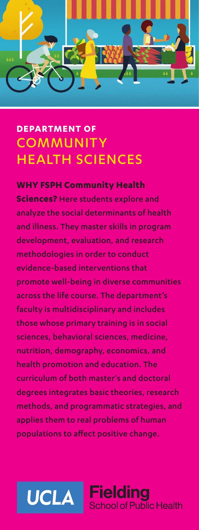

# **DEPARTMENT OF COMMUNITY** HEALTH SCIENCES

#### **WHY FSPH Community Health**

**Sciences?** Here students explore and analyze the social determinants of health and illness. They master skills in program development, evaluation, and research methodologies in order to conduct evidence-based interventions that promote well-being in diverse communities across the life course. The department's faculty is multidisciplinary and includes those whose primary training is in social sciences, behavioral sciences, medicine, nutrition, demography, economics, and health promotion and education. The curriculum of both master's and doctoral degrees integrates basic theories, research methods, and programmatic strategies, and applies them to real problems of human populations to affect positive change.